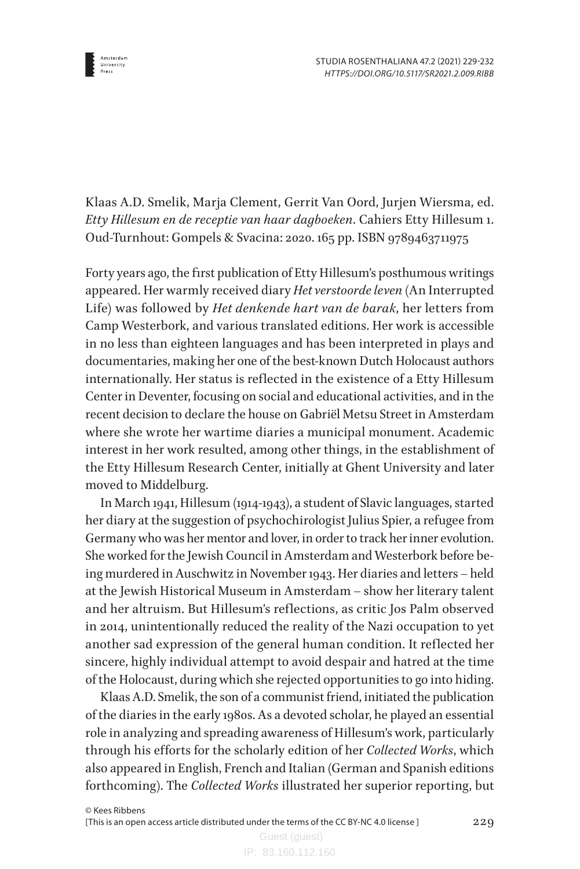

Klaas A.D. Smelik, Marja Clement, Gerrit Van Oord, Jurjen Wiersma, ed. *Etty Hillesum en de receptie van haar dagboeken*. Cahiers Etty Hillesum 1. Oud-Turnhout: Gompels & Svacina: 2020. 165 pp. ISBN 9789463711975

Forty years ago, the first publication of Etty Hillesum's posthumous writings appeared. Her warmly received diary *Het verstoorde leven* (An Interrupted Life) was followed by *Het denkende hart van de barak*, her letters from Camp Westerbork, and various translated editions. Her work is accessible in no less than eighteen languages and has been interpreted in plays and documentaries, making her one of the best-known Dutch Holocaust authors internationally. Her status is reflected in the existence of a Etty Hillesum Center in Deventer, focusing on social and educational activities, and in the recent decision to declare the house on Gabriël Metsu Street in Amsterdam where she wrote her wartime diaries a municipal monument. Academic interest in her work resulted, among other things, in the establishment of the Etty Hillesum Research Center, initially at Ghent University and later moved to Middelburg.

In March 1941, Hillesum (1914-1943), a student of Slavic languages, started her diary at the suggestion of psychochirologist Julius Spier, a refugee from Germany who was her mentor and lover, in order to track her inner evolution. She worked for the Jewish Council in Amsterdam and Westerbork before being murdered in Auschwitz in November 1943. Her diaries and letters – held at the Jewish Historical Museum in Amsterdam – show her literary talent and her altruism. But Hillesum's reflections, as critic Jos Palm observed in 2014, unintentionally reduced the reality of the Nazi occupation to yet another sad expression of the general human condition. It reflected her sincere, highly individual attempt to avoid despair and hatred at the time of the Holocaust, during which she rejected opportunities to go into hiding.

Klaas A.D. Smelik, the son of a communist friend, initiated the publication of the diaries in the early 1980s. As a devoted scholar, he played an essential role in analyzing and spreading awareness of Hillesum's work, particularly through his efforts for the scholarly edition of her *Collected Works*, which also appeared in English, French and Italian (German and Spanish editions forthcoming). The *Collected Works* illustrated her superior reporting, but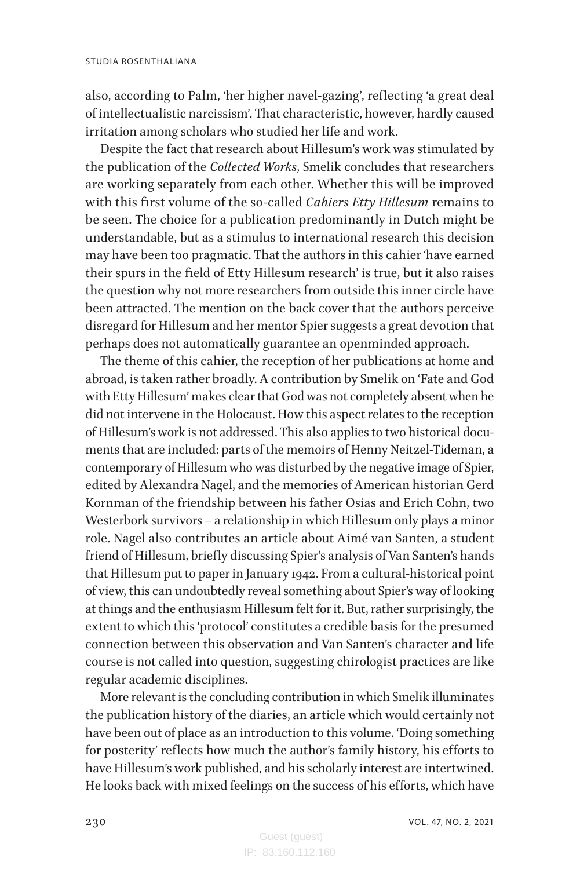also, according to Palm, 'her higher navel-gazing', reflecting 'a great deal of intellectualistic narcissism'. That characteristic, however, hardly caused irritation among scholars who studied her life and work.

Despite the fact that research about Hillesum's work was stimulated by the publication of the *Collected Works*, Smelik concludes that researchers are working separately from each other. Whether this will be improved with this first volume of the so-called *Cahiers Etty Hillesum* remains to be seen. The choice for a publication predominantly in Dutch might be understandable, but as a stimulus to international research this decision may have been too pragmatic. That the authors in this cahier 'have earned their spurs in the field of Etty Hillesum research' is true, but it also raises the question why not more researchers from outside this inner circle have been attracted. The mention on the back cover that the authors perceive disregard for Hillesum and her mentor Spier suggests a great devotion that perhaps does not automatically guarantee an openminded approach.

The theme of this cahier, the reception of her publications at home and abroad, is taken rather broadly. A contribution by Smelik on 'Fate and God with Etty Hillesum' makes clear that God was not completely absent when he did not intervene in the Holocaust. How this aspect relates to the reception of Hillesum's work is not addressed. This also applies to two historical documents that are included: parts of the memoirs of Henny Neitzel-Tideman, a contemporary of Hillesum who was disturbed by the negative image of Spier, edited by Alexandra Nagel, and the memories of American historian Gerd Kornman of the friendship between his father Osias and Erich Cohn, two Westerbork survivors – a relationship in which Hillesum only plays a minor role. Nagel also contributes an article about Aimé van Santen, a student friend of Hillesum, briefly discussing Spier's analysis of Van Santen's hands that Hillesum put to paper in January 1942. From a cultural-historical point of view, this can undoubtedly reveal something about Spier's way of looking at things and the enthusiasm Hillesum felt for it. But, rather surprisingly, the extent to which this 'protocol' constitutes a credible basis for the presumed connection between this observation and Van Santen's character and life course is not called into question, suggesting chirologist practices are like regular academic disciplines.

More relevant is the concluding contribution in which Smelik illuminates the publication history of the diaries, an article which would certainly not have been out of place as an introduction to this volume. 'Doing something for posterity' reflects how much the author's family history, his efforts to have Hillesum's work published, and his scholarly interest are intertwined. He looks back with mixed feelings on the success of his efforts, which have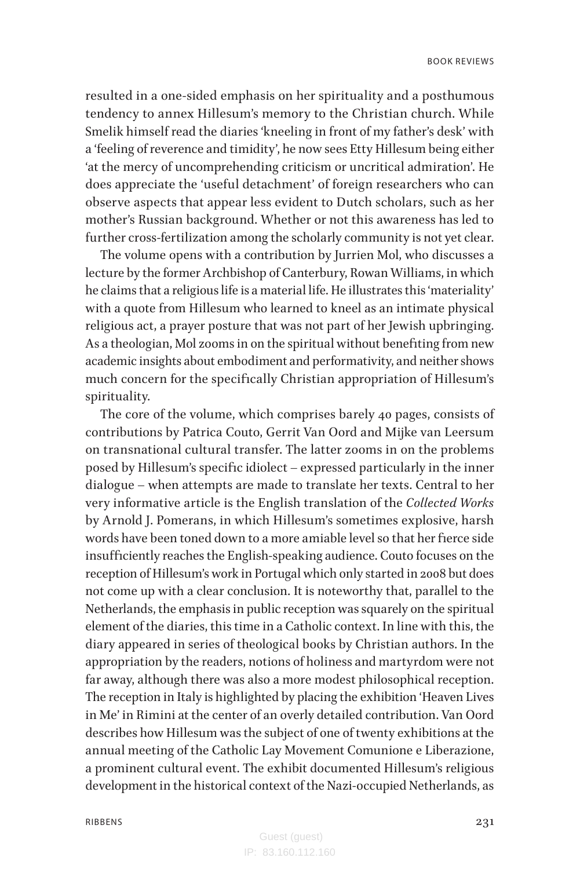resulted in a one-sided emphasis on her spirituality and a posthumous tendency to annex Hillesum's memory to the Christian church. While Smelik himself read the diaries 'kneeling in front of my father's desk' with a 'feeling of reverence and timidity', he now sees Etty Hillesum being either 'at the mercy of uncomprehending criticism or uncritical admiration'. He does appreciate the 'useful detachment' of foreign researchers who can observe aspects that appear less evident to Dutch scholars, such as her mother's Russian background. Whether or not this awareness has led to further cross-fertilization among the scholarly community is not yet clear.

The volume opens with a contribution by Jurrien Mol, who discusses a lecture by the former Archbishop of Canterbury, Rowan Williams, in which he claims that a religious life is a material life. He illustrates this 'materiality' with a quote from Hillesum who learned to kneel as an intimate physical religious act, a prayer posture that was not part of her Jewish upbringing. As a theologian, Mol zooms in on the spiritual without benefiting from new academic insights about embodiment and performativity, and neither shows much concern for the specifically Christian appropriation of Hillesum's spirituality.

The core of the volume, which comprises barely 40 pages, consists of contributions by Patrica Couto, Gerrit Van Oord and Mijke van Leersum on transnational cultural transfer. The latter zooms in on the problems posed by Hillesum's specific idiolect – expressed particularly in the inner dialogue – when attempts are made to translate her texts. Central to her very informative article is the English translation of the *Collected Works* by Arnold J. Pomerans, in which Hillesum's sometimes explosive, harsh words have been toned down to a more amiable level so that her fierce side insufficiently reaches the English-speaking audience. Couto focuses on the reception of Hillesum's work in Portugal which only started in 2008 but does not come up with a clear conclusion. It is noteworthy that, parallel to the Netherlands, the emphasis in public reception was squarely on the spiritual element of the diaries, this time in a Catholic context. In line with this, the diary appeared in series of theological books by Christian authors. In the appropriation by the readers, notions of holiness and martyrdom were not far away, although there was also a more modest philosophical reception. The reception in Italy is highlighted by placing the exhibition 'Heaven Lives in Me' in Rimini at the center of an overly detailed contribution. Van Oord describes how Hillesum was the subject of one of twenty exhibitions at the annual meeting of the Catholic Lay Movement Comunione e Liberazione, a prominent cultural event. The exhibit documented Hillesum's religious development in the historical context of the Nazi-occupied Netherlands, as